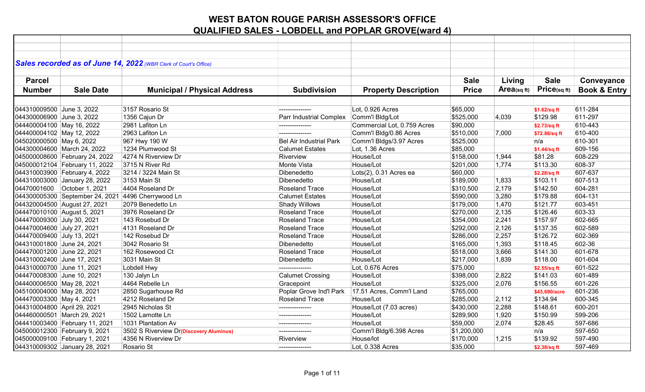|                             |                                | Sales recorded as of June 14, 2022 (WBR Clerk of Court's Office) |                                |                             |              |                   |               |                         |
|-----------------------------|--------------------------------|------------------------------------------------------------------|--------------------------------|-----------------------------|--------------|-------------------|---------------|-------------------------|
|                             |                                |                                                                  |                                |                             |              |                   |               |                         |
| <b>Parcel</b>               |                                |                                                                  |                                |                             | <b>Sale</b>  | Living            | <b>Sale</b>   | Conveyance              |
| <b>Number</b>               | <b>Sale Date</b>               | <b>Municipal / Physical Address</b>                              | <b>Subdivision</b>             | <b>Property Description</b> | <b>Price</b> | $Area_{(sq\,ft)}$ | Price(sqft)   | <b>Book &amp; Entry</b> |
|                             |                                |                                                                  |                                |                             |              |                   |               |                         |
| 044310009500 June 3, 2022   |                                | 3157 Rosario St                                                  |                                | Lot, 0.926 Acres            | \$65,000     |                   | \$1.62/sq ft  | 611-284                 |
| 044300006900 June 3, 2022   |                                | 1356 Cajun Dr                                                    | Parr Industrial Complex        | Comm'l Bldg/Lot             | \$525,000    | 4,039             | \$129.98      | 611-297                 |
| 044400004100 May 16, 2022   |                                | 2981 Lafiton Ln                                                  |                                | Commercial Lot, 0.759 Acres | \$90,000     |                   | \$2.73/sq ft  | 610-443                 |
| 044400004102 May 12, 2022   |                                | 2963 Lafiton Ln                                                  |                                | Comm'l Bldg/0.86 Acres      | \$510,000    | 7,000             | \$72.86/sq ft | 610-400                 |
| 045020000500 May 6, 2022    |                                | 967 Hwy 190 W                                                    | <b>Bel Air Industrial Park</b> | Comm'l Bldgs/3.97 Acres     | \$525,000    |                   | n/a           | 610-301                 |
|                             | 044300004600 March 24, 2022    | 1234 Plumwood St                                                 | <b>Calumet Estates</b>         | Lot, 1.36 Acres             | \$85,000     |                   | \$1.44/sq ft  | 609-156                 |
|                             | 045000008600 February 24, 2022 | 4274 N Riverview Dr                                              | Riverview                      | House/Lot                   | \$158,000    | 1,944             | \$81.28       | 608-229                 |
|                             | 045000012104 February 11, 2022 | 3715 N River Rd                                                  | Monte Vista                    | House/Lot                   | \$201,000    | 1,774             | \$113.30      | 608-37                  |
|                             | 044310003900 February 4, 2022  | 3214 / 3224 Main St                                              | Dibenedetto                    | Lots(2), 0.31 Acres ea      | \$60,000     |                   | \$2.28/sq ft  | 607-637                 |
|                             | 044310003000 January 28, 2022  | 3153 Main St                                                     | Dibenedetto                    | House/Lot                   | \$189,000    | 1,833             | \$103.11      | 607-513                 |
|                             | 04470001600 October 1, 2021    | 4404 Roseland Dr                                                 | <b>Roseland Trace</b>          | House/Lot                   | \$310,500    | 2,179             | \$142.50      | 604-281                 |
|                             |                                | 044300005300 September 24, 2021 4496 Cherrywood Ln               | <b>Calumet Estates</b>         | House/Lot                   | \$590,000    | 3,280             | \$179.88      | 604-131                 |
|                             | 044320004500 August 27, 2021   | 2079 Benedetto Ln                                                | <b>Shady Willows</b>           | House/Lot                   | \$179,000    | 1,470             | \$121.77      | 603-451                 |
|                             | 044470010100 August 5, 2021    | 3976 Roseland Dr                                                 | Roseland Trace                 | House/Lot                   | \$270,000    | 2,135             | \$126.46      | 603-33                  |
| 044470009300 July 30, 2021  |                                | 143 Rosebud Dr                                                   | Roseland Trace                 | House/Lot                   | \$354,000    | 2,241             | \$157.97      | 602-665                 |
| 044470004600 July 27, 2021  |                                | 4131 Roseland Dr                                                 | <b>Roseland Trace</b>          | House/Lot                   | \$292,000    | 2,126             | \$137.35      | 602-589                 |
| 044470009400 July 13, 2021  |                                | 142 Rosebud Dr                                                   | Roseland Trace                 | House/Lot                   | \$286,000    | 2,257             | \$126.72      | 602-369                 |
| 044310001800 June 24, 2021  |                                | 3042 Rosario St                                                  | Dibenedetto                    | House/Lot                   | \$165,000    | 1,393             | \$118.45      | 602-36                  |
| 044470001200 June 22, 2021  |                                | 162 Rosewood Ct                                                  | <b>Roseland Trace</b>          | House/Lot                   | \$518,000    | 3,666             | \$141.30      | 601-678                 |
| 044310002400 June 17, 2021  |                                | 3031 Main St                                                     | Dibenedetto                    | House/Lot                   | \$217,000    | 1,839             | \$118.00      | 601-604                 |
| 044310000700 June 11, 2021  |                                | Lobdell Hwy                                                      |                                | Lot, 0.676 Acres            | \$75,000     |                   | \$2.55/sq ft  | 601-522                 |
| 044470008300 June 10, 2021  |                                | 130 Jalyn Ln                                                     | <b>Calumet Crossing</b>        | House/Lot                   | \$398,000    | 2,822             | \$141.03      | 601-489                 |
| 044400006500 May 28, 2021   |                                | 4464 Rebelle Ln                                                  | Gracepoint                     | House/Lot                   | \$325,000    | 2,076             | \$156.55      | 601-226                 |
| 045100004000 May 28, 2021   |                                | 2850 Sugarhouse Rd                                               | Poplar Grove Ind'l Park        | 17.51 Acres, Comm'l Land    | \$765,000    |                   | \$43,690/acre | 601-236                 |
| 044470003300 May 4, 2021    |                                | 4212 Roseland Dr                                                 | Roseland Trace                 | House/Lot                   | \$285,000    | 2,112             | \$134.94      | 600-345                 |
| 044310004800 April 29, 2021 |                                | 2945 Nicholas St                                                 | ---------------                | House/Lot (7.03 acres)      | \$430,000    | 2,288             | \$148.61      | 600-201                 |
|                             | 044460000501 March 29, 2021    | 1502 Lamotte Ln                                                  | ---------------                | House/Lot                   | \$289,900    | 1,920             | \$150.99      | 599-206                 |
|                             | 044410003400 February 11, 2021 | 1031 Plantation Av                                               | ---------------                | House/Lot                   | \$59,000     | 2,074             | \$28.45       | 597-686                 |
|                             | 045000012300 February 9, 2021  | 3502 S Riverview Dr(Discovery Aluminus)                          | ---------------                | Comm'l Bldg/6.398 Acres     | \$1,200,000  |                   | n/a           | 597-650                 |
|                             | 045000009100 February 1, 2021  | 4356 N Riverview Dr                                              | Riverview                      | House/lot                   | \$170,000    | 1,215             | \$139.92      | 597-490                 |
|                             | 044310009302 January 28, 2021  | Rosario St                                                       | ---------------                | Lot, 0.338 Acres            | \$35,000     |                   | \$2.38/sq ft  | 597-469                 |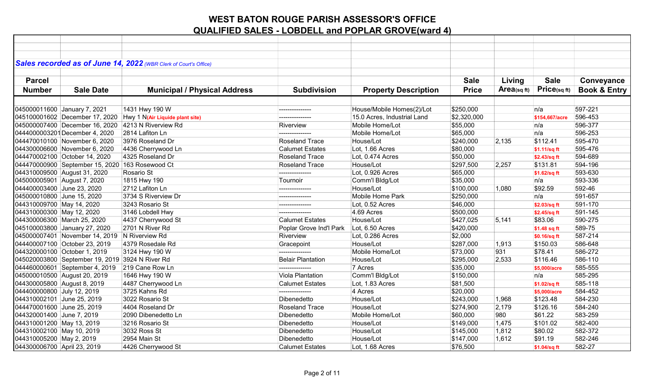|                             |                                                 | Sales recorded as of June 14, 2022 (WBR Clerk of Court's Office) |                          |                             |              |             |                |                         |
|-----------------------------|-------------------------------------------------|------------------------------------------------------------------|--------------------------|-----------------------------|--------------|-------------|----------------|-------------------------|
|                             |                                                 |                                                                  |                          |                             |              |             |                |                         |
| <b>Parcel</b>               |                                                 |                                                                  |                          |                             | <b>Sale</b>  | Living      | <b>Sale</b>    | Conveyance              |
| <b>Number</b>               | <b>Sale Date</b>                                | <b>Municipal / Physical Address</b>                              | <b>Subdivision</b>       | <b>Property Description</b> | <b>Price</b> | Area(sq ft) | Price(sqft)    | <b>Book &amp; Entry</b> |
|                             |                                                 |                                                                  |                          |                             |              |             |                |                         |
|                             | 045000011600 January 7, 2021                    | 1431 Hwy 190 W                                                   | ---------------          | House/Mobile Homes(2)/Lot   | \$250,000    |             | n/a            | 597-221                 |
|                             |                                                 | $045100001602$ December 17, 2020 Hwy 1 N(Air Liquide plant site) |                          | 15.0 Acres, Industrial Land | \$2,320,000  |             | \$154,667/acre | 596-453                 |
|                             |                                                 | 045000007400 December 16, 2020 4213 N Riverview Rd               | Riverview                | Mobile Home/Lot             | \$55,000     |             | n/a            | 596-377                 |
|                             | 0444000003201December 4, 2020                   | 2814 Lafiton Ln                                                  |                          | Mobile Home/Lot             | \$65,000     |             | n/a            | 596-253                 |
|                             | 044470010100 November 6, 2020                   | 3976 Roseland Dr                                                 | <b>Roseland Trace</b>    | House/Lot                   | \$240,000    | 2,135       | \$112.41       | 595-470                 |
|                             | 044300006600 November 6, 2020                   | 4436 Cherrywood Ln                                               | <b>Calumet Estates</b>   | Lot, 1.66 Acres             | \$80,000     |             | \$1.11/sq ft   | 595-476                 |
|                             | 044470002100 October 14, 2020                   | 4325 Roseland Dr                                                 | <b>Roseland Trace</b>    | Lot, 0.474 Acres            | \$50,000     |             | \$2.43/sq ft   | 594-689                 |
|                             | 044470000900 September 15, 2020 163 Rosewood Ct |                                                                  | <b>Roseland Trace</b>    | House/Lot                   | \$297,500    | 2,257       | \$131.81       | 594-196                 |
|                             | 044310009500 August 31, 2020                    | Rosario St                                                       | ---------------          | Lot, 0.926 Acres            | \$65,000     |             | \$1.62/sq ft   | 593-630                 |
|                             | 045000005901 August 7, 2020                     | 1815 Hwy 190                                                     | Tournoir                 | Comm'l Bldg/Lot             | \$35,000     |             | n/a            | 593-336                 |
| 044400003400 June 23, 2020  |                                                 | 2712 Lafiton Ln                                                  | ---------------          | House/Lot                   | \$100,000    | 1,080       | \$92.59        | 592-46                  |
| 045000010800 June 15, 2020  |                                                 | 3734 S Riverview Dr                                              | ---------------          | Mobile Home Park            | \$250,000    |             | n/a            | 591-657                 |
| 044310009700 May 14, 2020   |                                                 | 3243 Rosario St                                                  | ---------------          | Lot, 0.52 Acres             | \$46,000     |             | \$2.03/sq ft   | 591-170                 |
| 044310000300 May 12, 2020   |                                                 | 3146 Lobdell Hwy                                                 |                          | 4.69 Acres                  | \$500,000    |             | \$2.45/sq ft   | 591-145                 |
|                             | 044300006300 March 25, 2020                     | 4437 Cherrywood St                                               | <b>Calumet Estates</b>   | House/Lot                   | \$427,025    | 5,141       | \$83.06        | 590-275                 |
|                             | 045100003800 January 27, 2020                   | 2701 N River Rd                                                  | Poplar Grove Ind'l Park  | Lot, 6.50 Acres             | \$420,000    |             | \$1.48 sq ft   | 589-75                  |
|                             | 045000007401 November 14, 2019 N Riverview Rd   |                                                                  | Riverview                | Lot, 0.286 Acres            | \$2,000      |             | \$0.16/sq ft   | 587-214                 |
|                             | 044400007100 October 23, 2019                   | 4379 Rosedale Rd                                                 | Gracepoint               | House/Lot                   | \$287,000    | 1,913       | \$150.03       | 586-648                 |
|                             | 044320000100 October 1, 2019                    | 3124 Hwy 190 W                                                   | ---------------          | Mobile Home/Lot             | \$73,000     | 931         | \$78.41        | 586-272                 |
|                             | 045020003800 September 19, 2019 3924 N River Rd |                                                                  | <b>Belair Plantation</b> | House/Lot                   | \$295,000    | 2,533       | \$116.46       | 586-110                 |
|                             | 044460000601 September 4, 2019                  | 219 Cane Row Ln                                                  |                          | 7 Acres                     | \$35,000     |             | \$5.000/acre   | 585-555                 |
|                             | 045000010500 August 20, 2019                    | 1646 Hwy 190 W                                                   | Viola Plantation         | Comm'l Bldg/Lot             | \$150,000    |             | n/a            | 585-295                 |
|                             | 044300005800 August 8, 2019                     | 4487 Cherrywood Ln                                               | <b>Calumet Estates</b>   | Lot, 1.83 Acres             | \$81,500     |             | \$1.02/sq ft   | 585-118                 |
| 044400000800 July 12, 2019  |                                                 | 3725 Kahns Rd                                                    |                          | 4 Acres                     | \$20,000     |             | \$5,000/acre   | 584-452                 |
| 044310002101 June 25, 2019  |                                                 | 3022 Rosario St                                                  | Dibenedetto              | House/Lot                   | \$243,000    | 1,968       | \$123.48       | 584-230                 |
| 044470001600 June 25, 2019  |                                                 | 4404 Roseland Dr                                                 | Roseland Trace           | House/Lot                   | \$274,900    | 2,179       | \$126.16       | 584-240                 |
| 044320001400 June 7, 2019   |                                                 | 2090 Dibenedetto Ln                                              | Dibenedetto              | Mobile Home/Lot             | \$60,000     | 980         | \$61.22        | 583-259                 |
| 044310001200 May 13, 2019   |                                                 | 3216 Rosario St                                                  | Dibenedetto              | House/Lot                   | \$149,000    | 1,475       | \$101.02       | 582-400                 |
| 044310002100 May 10, 2019   |                                                 | 3032 Ross St                                                     | Dibenedetto              | House/Lot                   | \$145,000    | 1,812       | \$80.02        | 582-372                 |
| 044310005200 May 2, 2019    |                                                 | 2954 Main St                                                     | Dibenedetto              | House/Lot                   | \$147,000    | 1,612       | \$91.19        | 582-246                 |
| 044300006700 April 23, 2019 |                                                 | 4426 Cherrywood St                                               | <b>Calumet Estates</b>   | Lot, 1.68 Acres             | \$76,500     |             | \$1.04/sq ft   | 582-27                  |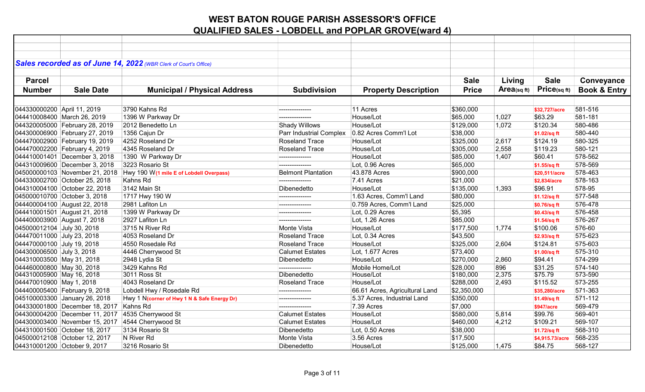|                             |                                | Sales recorded as of June 14, 2022 (WBR Clerk of Court's Office) |                           |                                |              |                   |                   |                         |
|-----------------------------|--------------------------------|------------------------------------------------------------------|---------------------------|--------------------------------|--------------|-------------------|-------------------|-------------------------|
|                             |                                |                                                                  |                           |                                |              |                   |                   |                         |
| <b>Parcel</b>               |                                |                                                                  |                           |                                | <b>Sale</b>  | Living            | <b>Sale</b>       | Conveyance              |
| <b>Number</b>               | <b>Sale Date</b>               | <b>Municipal / Physical Address</b>                              | <b>Subdivision</b>        | <b>Property Description</b>    | <b>Price</b> | $Area_{(sq\,ft)}$ | Price(sqft)       | <b>Book &amp; Entry</b> |
|                             |                                |                                                                  |                           |                                |              |                   |                   |                         |
| 044330000200 April 11, 2019 |                                | 3790 Kahns Rd                                                    |                           | 11 Acres                       | \$360,000    |                   | \$32,727/acre     | 581-516                 |
|                             | 044410008400 March 26, 2019    | 1396 W Parkway Dr                                                | ---------------           | House/Lot                      | \$65,000     | 1,027             | \$63.29           | 581-181                 |
|                             | 044320005000 February 28, 2019 | 2012 Benedetto Ln                                                | <b>Shady Willows</b>      | House/Lot                      | \$129,000    | 1,072             | \$120.34          | 580-486                 |
|                             | 044300006900 February 27, 2019 | 1356 Cajun Dr                                                    | Parr Industrial Complex   | 0.82 Acres Comm'l Lot          | \$38,000     |                   | \$1.02/sq ft      | 580-440                 |
|                             | 044470002900 February 19, 2019 | 4252 Roseland Dr                                                 | <b>Roseland Trace</b>     | House/Lot                      | \$325,000    | 2,617             | \$124.19          | 580-325                 |
|                             | 044470002200 February 4, 2019  | 4345 Roseland Dr                                                 | <b>Roseland Trace</b>     | House/Lot                      | \$305,000    | 2,558             | \$119.23          | 580-121                 |
|                             | 044410001401 December 3, 2018  | 1390 W Parkway Dr                                                | ---------------           | House/Lot                      | \$85,000     | 1,407             | \$60.41           | 578-562                 |
|                             | 044310009600 December 3, 2018  | 3223 Rosario St                                                  |                           | Lot, 0.96 Acres                | \$65,000     |                   | \$1.55/sq ft      | 578-569                 |
|                             | 045000000103 November 21, 2018 | Hwy 190 W(1 mile E of Lobdell Overpass)                          | <b>Belmont Plantation</b> | 43.878 Acres                   | \$900,000    |                   | \$20,511/acre     | 578-463                 |
|                             | 044330002700 October 25, 2018  | Kahns Rd                                                         | ---------------           | 7.41 Acres                     | \$21,000     |                   | \$2,834/acre      | 578-163                 |
|                             | 044310004100 October 22, 2018  | 3142 Main St                                                     | Dibenedetto               | House/Lot                      | \$135,000    | 1,393             | \$96.91           | 578-95                  |
|                             | 045000010700 October 3, 2018   | 1717 Hwy 190 W                                                   | ---------------           | 1.63 Acres, Comm'l Land        | \$80,000     |                   | \$1.12/sq ft      | 577-548                 |
|                             | 044400004100 August 22, 2018   | 2981 Lafiton Ln                                                  |                           | 0.759 Acres, Comm'l Land       | \$25,000     |                   | \$0.76/sq ft      | 576-478                 |
|                             | 044410001501 August 21, 2018   | 1399 W Parkway Dr                                                | ---------------           | Lot, 0.29 Acres                | \$5,395      |                   | \$0.43/sq ft      | 576-458                 |
|                             | 044400003900 August 7, 2018    | 2927 Lafiton Ln                                                  | ---------------           | Lot, 1.26 Acres                | \$85,000     |                   | \$1.54/sq ft      | 576-267                 |
| 045000012104 July 30, 2018  |                                | 3715 N River Rd                                                  | Monte Vista               | House/Lot                      | \$177,500    | 1,774             | \$100.06          | 576-60                  |
| 044470011000 July 23, 2018  |                                | 4053 Roseland Dr                                                 | <b>Roseland Trace</b>     | Lot, 0.34 Acres                | \$43,500     |                   | \$2.93/sq ft      | 575-623                 |
| 044470000100 July 19, 2018  |                                | 4550 Rosedale Rd                                                 | <b>Roseland Trace</b>     | House/Lot                      | \$325,000    | 2,604             | \$124.81          | 575-603                 |
| 044300006500 July 3, 2018   |                                | 4446 Cherrywood St                                               | <b>Calumet Estates</b>    | Lot, 1.677 Acres               | \$73,400     |                   | \$1.00/sq ft      | 575-310                 |
| 044310003500 May 31, 2018   |                                | 2948 Lydia St                                                    | Dibenedetto               | House/Lot                      | \$270,000    | 2,860             | \$94.41           | 574-299                 |
| 044460000800 May 30, 2018   |                                | 3429 Kahns Rd                                                    | ---------------           | Mobile Home/Lot                | \$28,000     | 896               | \$31.25           | 574-140                 |
| 044310005900 May 16, 2018   |                                | 3011 Ross St                                                     | Dibenedetto               | House/Lot                      | \$180,000    | 2,375             | \$75.79           | 573-590                 |
| 044470010900 May 1, 2018    |                                | 4043 Roseland Dr                                                 | <b>Roseland Trace</b>     | House/Lot                      | \$288,000    | 2,493             | \$115.52          | 573-255                 |
|                             | 044400005400 February 9, 2018  | Lobdell Hwy / Rosedale Rd                                        | --------------            | 66.61 Acres, Agricultural Land | \$2,350,000  |                   | \$35,280/acre     | 571-363                 |
|                             | 045100003300 January 26, 2018  | Hwy 1 N(corner of Hwy 1 N & Safe Energy Dr)                      |                           | 5.37 Acres, Industrial Land    | \$350,000    |                   | \$1.49/sq ft      | 571-112                 |
|                             | 044330001800 December 18, 2017 | Kahns Rd                                                         | ---------------           | 7.39 Acres                     | \$7,000      |                   | <b>\$947/acre</b> | 569-479                 |
|                             |                                | 044300004200 December 11, 2017 4535 Cherrywood St                | <b>Calumet Estates</b>    | House/Lot                      | \$580,000    | 5,814             | \$99.76           | 569-401                 |
|                             |                                | 044300003400 November 15, 2017 4544 Cherrywood St                | <b>Calumet Estates</b>    | House/Lot                      | \$460,000    | 4,212             | \$109.21          | 569-107                 |
|                             | 044310001500 October 18, 2017  | 3134 Rosario St                                                  | Dibenedetto               | Lot, 0.50 Acres                | \$38,000     |                   | \$1.72/sq ft      | 568-310                 |
|                             | 045000012108 October 12, 2017  | N River Rd                                                       | Monte Vista               | 3.56 Acres                     | \$17,500     |                   | \$4,915.73/acre   | 568-235                 |
|                             | 044310001200 October 9, 2017   | 3216 Rosario St                                                  | Dibenedetto               | House/Lot                      | \$125,000    | 1,475             | \$84.75           | 568-127                 |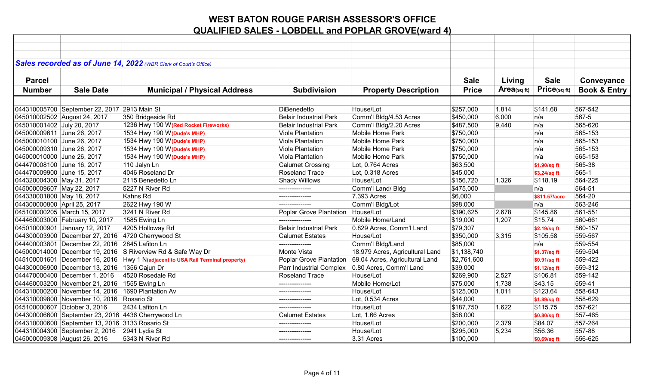|                             |                                                   | Sales recorded as of June 14, 2022 (WBR Clerk of Court's Office)               |                               |                                 |              |            |               |                         |
|-----------------------------|---------------------------------------------------|--------------------------------------------------------------------------------|-------------------------------|---------------------------------|--------------|------------|---------------|-------------------------|
|                             |                                                   |                                                                                |                               |                                 |              |            |               |                         |
| <b>Parcel</b>               |                                                   |                                                                                |                               |                                 | <b>Sale</b>  | Living     | <b>Sale</b>   | Conveyance              |
| <b>Number</b>               | <b>Sale Date</b>                                  | <b>Municipal / Physical Address</b>                                            | <b>Subdivision</b>            | <b>Property Description</b>     | <b>Price</b> | Area(sqft) | Price(sq ft)  | <b>Book &amp; Entry</b> |
|                             |                                                   |                                                                                |                               |                                 |              |            |               |                         |
|                             | 044310005700 September 22, 2017 2913 Main St      |                                                                                | <b>DiBenedetto</b>            | House/Lot                       | \$257,000    | 1,814      | \$141.68      | 567-542                 |
|                             | 045010002502 August 24, 2017                      | 350 Bridgeside Rd                                                              | <b>Belair Industrial Park</b> | Comm'l Bldg/4.53 Acres          | \$450,000    | 6,000      | n/a           | 567-5                   |
| 045010001402 July 20, 2017  |                                                   | 1236 Hwy 190 W(Red Rocket Fireworks)                                           | <b>Belair Industrial Park</b> | Comm'l Bldg/2.20 Acres          | \$487,500    | 9,440      | n/a           | 565-620                 |
| 045000009611 June 26, 2017  |                                                   | 1534 Hwy 190 W (Dude's MHP)                                                    | Viola Plantation              | <b>Mobile Home Park</b>         | \$750,000    |            | n/a           | 565-153                 |
| 045000010100 June 26, 2017  |                                                   | 1534 Hwy 190 W(Dude's MHP)                                                     | Viola Plantation              | <b>Mobile Home Park</b>         | \$750,000    |            | n/a           | 565-153                 |
| 045000009310 June 26, 2017  |                                                   | 1534 Hwy 190 W (Dude's MHP)                                                    | Viola Plantation              | Mobile Home Park                | \$750,000    |            | n/a           | 565-153                 |
| 045000010000 June 26, 2017  |                                                   | 1534 Hwy 190 W (Dude's MHP)                                                    | Viola Plantation              | Mobile Home Park                | \$750,000    |            | n/a           | 565-153                 |
| 044470008100 June 16, 2017  |                                                   | 110 Jalyn Ln                                                                   | <b>Calumet Crossing</b>       | Lot, 0.764 Acres                | \$63,500     |            | \$1.90/sq ft  | 565-38                  |
| 044470009900 June 15, 2017  |                                                   | 4046 Roseland Dr                                                               | Roseland Trace                | Lot, 0.318 Acres                | \$45,000     |            | \$3.24/sq ft  | 565-1                   |
| 044320004300 May 31, 2017   |                                                   | 2115 Benedetto Ln                                                              | Shady Willows                 | House/Lot                       | \$156,720    | 1,326      | \$118.19      | 564-225                 |
| 045000009607 May 22, 2017   |                                                   | 5227 N River Rd                                                                |                               | Comm'l Land/ Bldg               | \$475,000    |            | n/a           | 564-51                  |
| 044330001800 May 18, 2017   |                                                   | Kahns Rd                                                                       | ---------------               | 7.393 Acres                     | \$6,000      |            | \$811.57/acre | 564-20                  |
| 044300000800 April 25, 2017 |                                                   | 2622 Hwy 190 W                                                                 |                               | Comm'l Bldg/Lot                 | \$98,000     |            | n/a           | 563-246                 |
|                             | 045100000205 March 15, 2017                       | 3241 N River Rd                                                                | Poplar Grove Plantation       | House/Lot                       | \$390,625    | 2,678      | \$145.86      | 561-551                 |
|                             | 044460003000 February 10, 2017                    | 1585 Ewing Ln                                                                  |                               | Mobile Home/Land                | \$19,000     | 1,207      | \$15.74       | 560-661                 |
|                             | 045010000901 January 12, 2017                     | 4205 Holloway Rd                                                               | <b>Belair Industrial Park</b> | 0.829 Acres, Comm'l Land        | \$79,307     |            | \$2.19/sq ft  | 560-157                 |
|                             |                                                   | 044300003900 December 27, 2016 4720 Cherrywood St                              | <b>Calumet Estates</b>        | House/Lot                       | \$350,000    | 3,315      | \$105.58      | 559-567                 |
|                             | 044400003801 December 22, 2016 2845 Lafiton Ln    |                                                                                |                               | Comm'l Bldg/Land                | \$85,000     |            | n/a           | 559-554                 |
|                             |                                                   | 045000014000 December 19, 2016 S Riverview Rd & Safe Way Dr                    | Monte Vista                   | 18.979 Acres, Agricultural Land | \$1,138,740  |            | \$1.37/sq ft  | 559-504                 |
|                             |                                                   | 045100001601 December 16, 2016 Hwy 1 N(adjacent to USA Rail Terminal property) | Poplar Grove Plantation       | 69.04 Acres, Agricultural Land  | \$2,761,600  |            | \$0.91/sq ft  | 559-422                 |
|                             | 044300006900 December 13, 2016 1356 Cajun Dr      |                                                                                | Parr Industrial Complex       | 0.80 Acres, Comm'l Land         | \$39,000     |            | \$1.12/sq ft  | 559-312                 |
|                             | 044470000400 December 1, 2016                     | 4520 Rosedale Rd                                                               | Roseland Trace                | House/Lot                       | \$269,900    | 2,527      | \$106.81      | 559-142                 |
|                             | 044460003200 November 21, 2016 1555 Ewing Ln      |                                                                                | ---------------               | Mobile Home/Lot                 | \$75,000     | 1,738      | \$43.15       | 559-41                  |
|                             | 044310000200 November 14, 2016 1690 Plantation Av |                                                                                | ---------------               | House/Lot                       | \$125,000    | 1,011      | \$123.64      | 558-643                 |
|                             | 044310009800 November 10, 2016 Rosario St         |                                                                                |                               | Lot, 0.534 Acres                | \$44,000     |            | \$1.89/sq ft  | 558-629                 |
|                             | 045100000607 October 3, 2016                      | 2434 Lafiton Ln                                                                | ---------------               | House/Lot                       | \$187,750    | 1,622      | \$115.75      | 557-621                 |
|                             |                                                   | 044300006600 September 23, 2016 4436 Cherrywood Ln                             | <b>Calumet Estates</b>        | Lot, 1.66 Acres                 | \$58,000     |            | \$0.80/sq ft  | 557-465                 |
|                             | 044310000600 September 13, 2016 3133 Rosario St   |                                                                                |                               | House/Lot                       | \$200,000    | 2,379      | \$84.07       | 557-264                 |
|                             | 044310004300 September 2, 2016 2941 Lydia St      |                                                                                |                               | House/Lot                       | \$295,000    | 5,234      | \$56.36       | 557-88                  |
|                             | 045000009308 August 26, 2016                      | 5343 N River Rd                                                                | ---------------               | 3.31 Acres                      | \$100,000    |            | \$0.69/sq ft  | 556-625                 |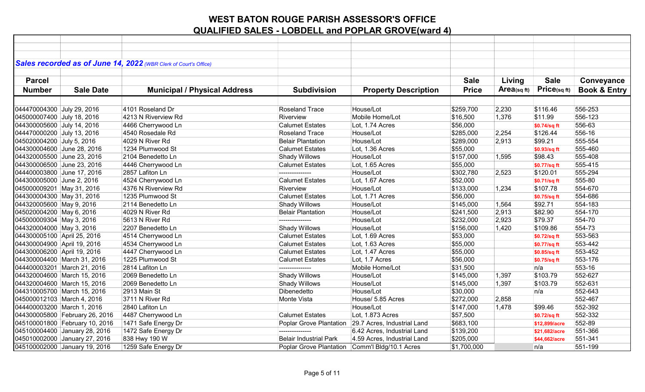|                             |                                | Sales recorded as of June 14, 2022 (WBR Clerk of Court's Office) |                               |                             |              |             |               |                         |
|-----------------------------|--------------------------------|------------------------------------------------------------------|-------------------------------|-----------------------------|--------------|-------------|---------------|-------------------------|
|                             |                                |                                                                  |                               |                             |              |             |               |                         |
| <b>Parcel</b>               |                                |                                                                  |                               |                             | <b>Sale</b>  | Living      | <b>Sale</b>   | Conveyance              |
| <b>Number</b>               | <b>Sale Date</b>               | <b>Municipal / Physical Address</b>                              | <b>Subdivision</b>            | <b>Property Description</b> | <b>Price</b> | Area(sq ft) | Price(sqft)   | <b>Book &amp; Entry</b> |
|                             |                                |                                                                  |                               |                             |              |             |               |                         |
| 044470004300 July 29, 2016  |                                | 4101 Roseland Dr                                                 | <b>Roseland Trace</b>         | House/Lot                   | \$259,700    | 2,230       | \$116.46      | 556-253                 |
| 045000007400 July 18, 2016  |                                | 4213 N Riverview Rd                                              | Riverview                     | Mobile Home/Lot             | \$16,500     | 1,376       | \$11.99       | 556-123                 |
| 044300005600 July 14, 2016  |                                | 4466 Cherrywood Ln                                               | <b>Calumet Estates</b>        | Lot, 1.74 Acres             | \$56,000     |             | \$0.74/sq ft  | 556-63                  |
| 044470000200 July 13, 2016  |                                | 4540 Rosedale Rd                                                 | <b>Roseland Trace</b>         | House/Lot                   | \$285,000    | 2,254       | \$126.44      | 556-16                  |
| 045020004200 July 5, 2016   |                                | 4029 N River Rd                                                  | <b>Belair Plantation</b>      | House/Lot                   | \$289,000    | 2,913       | \$99.21       | 555-554                 |
| 044300004600 June 28, 2016  |                                | 1234 Plumwood St                                                 | <b>Calumet Estates</b>        | Lot, 1.36 Acres             | \$55,000     |             | \$0.93/sq ft  | 555-460                 |
| 044320005500 June 23, 2016  |                                | 2104 Benedetto Ln                                                | <b>Shady Willows</b>          | House/Lot                   | \$157,000    | 1,595       | \$98.43       | 555-408                 |
| 044300006500 June 23, 2016  |                                | 4446 Cherrywood Ln                                               | <b>Calumet Estates</b>        | Lot, 1.65 Acres             | \$55,000     |             | \$0.77/sq ft  | 555-415                 |
| 044400003800 June 17, 2016  |                                | 2857 Lafiton Ln                                                  | ---------------               | House/Lot                   | \$302,780    | 2,523       | \$120.01      | 555-294                 |
| 044300005000 June 2, 2016   |                                | 4524 Cherrywood Ln                                               | <b>Calumet Estates</b>        | Lot, 1.67 Acres             | \$52,000     |             | \$0.71/sq ft  | 555-80                  |
| 045000009201 May 31, 2016   |                                | 4376 N Riverview Rd                                              | Riverview                     | House/Lot                   | \$133,000    | 1,234       | \$107.78      | 554-670                 |
| 044300004300 May 31, 2016   |                                | 1235 Plumwood St                                                 | <b>Calumet Estates</b>        | Lot, 1.71 Acres             | \$56,000     |             | \$0.75/sq ft  | 554-686                 |
| 044320005600 May 9, 2016    |                                | 2114 Benedetto Ln                                                | <b>Shady Willows</b>          | House/Lot                   | \$145,000    | 1,564       | \$92.71       | 554-183                 |
| 045020004200 May 6, 2016    |                                | 4029 N River Rd                                                  | <b>Belair Plantation</b>      | House/Lot                   | \$241,500    | 2,913       | \$82.90       | 554-170                 |
| 045000009304 May 3, 2016    |                                | 5613 N River Rd                                                  |                               | House/Lot                   | \$232,000    | 2,923       | \$79.37       | 554-70                  |
| 044320004000 May 3, 2016    |                                | 2207 Benedetto Ln                                                | <b>Shady Willows</b>          | House/Lot                   | \$156,000    | 1,420       | \$109.86      | 554-73                  |
| 044300005100 April 25, 2016 |                                | 4514 Cherrywood Ln                                               | <b>Calumet Estates</b>        | Lot, 1.69 Acres             | \$53,000     |             | \$0.72/sq ft  | 553-563                 |
| 044300004900 April 19, 2016 |                                | 4534 Cherrywood Ln                                               | <b>Calumet Estates</b>        | Lot, 1.63 Acres             | \$55,000     |             | \$0.77/sq ft  | 553-442                 |
| 044300006200 April 19, 2016 |                                | 4447 Cherrywood Ln                                               | <b>Calumet Estates</b>        | Lot, 1.47 Acres             | \$55,000     |             | \$0.85/sq ft  | 553-452                 |
| 044300004400 March 31, 2016 |                                | 1225 Plumwood St                                                 | <b>Calumet Estates</b>        | Lot, 1.7 Acres              | \$56,000     |             | \$0.75/sq ft  | 553-176                 |
| 044400003201 March 21, 2016 |                                | 2814 Lafiton Ln                                                  |                               | Mobile Home/Lot             | \$31,500     |             | n/a           | 553-16                  |
| 044320004600 March 15, 2016 |                                | 2069 Benedetto Ln                                                | <b>Shady Willows</b>          | House/Lot                   | \$145,000    | 1,397       | \$103.79      | 552-627                 |
| 044320004600 March 15, 2016 |                                | 2069 Benedetto Ln                                                | <b>Shady Willows</b>          | House/Lot                   | \$145,000    | 1,397       | \$103.79      | 552-631                 |
| 044310005700 March 15, 2016 |                                | 2913 Main St                                                     | Dibenedetto                   | House/Lot                   | \$30,000     |             | n/a           | 552-643                 |
| 045000012103 March 4, 2016  |                                | 3711 N River Rd                                                  | Monte Vista                   | House/ 5.85 Acres           | \$272,000    | 2,858       |               | 552-467                 |
| 044400003200 March 1, 2016  |                                | 2840 Lafiton Ln                                                  |                               | House/Lot                   | \$147,000    | 1,478       | \$99.46       | 552-392                 |
|                             | 044300005800 February 26, 2016 | 4487 Cherrywood Ln                                               | <b>Calumet Estates</b>        | Lot, 1.873 Acres            | \$57,500     |             | \$0.72/sq ft  | 552-332                 |
|                             | 045100001800 February 10, 2016 | 1471 Safe Energy Dr                                              | Poplar Grove Plantation       | 29.7 Acres, Industrial Land | \$683,100    |             | \$12,899/acre | 552-89                  |
|                             | 045100004400 January 28, 2016  | 1472 Safe Energy Dr                                              | ---------------               | 6.42 Acres, Industrial Land | \$139,200    |             | \$21,682/acre | 551-366                 |
|                             | 045010002000 January 27, 2016  | 838 Hwy 190 W                                                    | <b>Belair Industrial Park</b> | 4.59 Acres, Industrial Land | \$205,000    |             | \$44,662/acre | 551-341                 |
|                             | 045100002000 January 19, 2016  | 1259 Safe Energy Dr                                              | Poplar Grove Plantation       | Comm'l Bldg/10.1 Acres      | \$1,700,000  |             | n/a           | 551-199                 |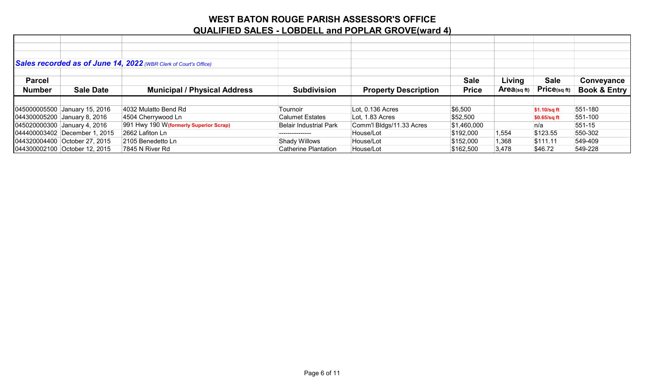|               |                               | Sales recorded as of June 14, 2022 (WBR Clerk of Court's Office) |                             |                             |              |             |                   |                         |
|---------------|-------------------------------|------------------------------------------------------------------|-----------------------------|-----------------------------|--------------|-------------|-------------------|-------------------------|
|               |                               |                                                                  |                             |                             |              |             |                   |                         |
| <b>Parcel</b> |                               |                                                                  |                             |                             | <b>Sale</b>  | Living      | <b>Sale</b>       | Conveyance              |
| <b>Number</b> | <b>Sale Date</b>              | <b>Municipal / Physical Address</b>                              | <b>Subdivision</b>          | <b>Property Description</b> | <b>Price</b> | Area(sq ft) | $Price_{(sq ft)}$ | <b>Book &amp; Entry</b> |
|               |                               |                                                                  |                             |                             |              |             |                   |                         |
|               | 045000005500 January 15, 2016 | 4032 Mulatto Bend Rd                                             | Tournoir                    | Lot, 0.136 Acres            | \$6,500      |             | $$1.10/sq$ ft     | 551-180                 |
|               | 044300005200 January 8, 2016  | 4504 Cherrywood Ln                                               | <b>Calumet Estates</b>      | Lot, 1.83 Acres             | \$52,500     |             | $$0.65/sq$ ft     | $551-100$               |
|               | 045020000300 January 4, 2016  | 991 Hwy 190 W (formerly Superior Scrap)                          | Belair Industrial Park      | Comm'l Bldgs/11.33 Acres    | \$1,460,000  |             | n/a               | $551-15$                |
|               | 044400003402 December 1, 2015 | 2662 Lafiton Ln                                                  |                             | House/Lot                   | \$192,000    | 1,554       | \$123.55          | 550-302                 |
|               | 044320004400 October 27, 2015 | 2105 Benedetto Ln                                                | Shady Willows               | House/Lot                   | \$152,000    | 1,368       | \$111.11          | 549-409                 |
|               | 044300002100 October 12, 2015 | 7845 N River Rd                                                  | <b>Catherine Plantation</b> | House/Lot                   | \$162,500    | 3,478       | \$46.72           | 549-228                 |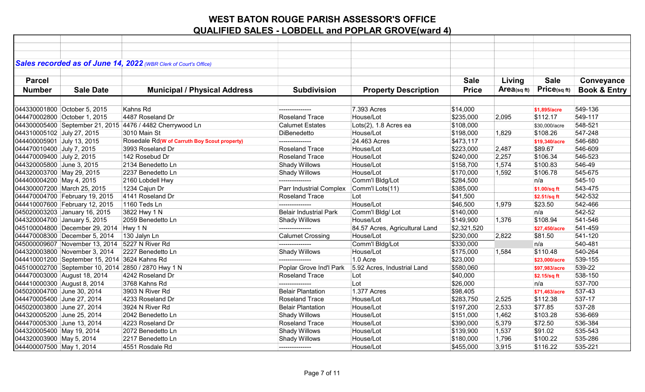|                            |                                                | Sales recorded as of June 14, 2022 (WBR Clerk of Court's Office) |                               |                                |              |            |               |                         |
|----------------------------|------------------------------------------------|------------------------------------------------------------------|-------------------------------|--------------------------------|--------------|------------|---------------|-------------------------|
|                            |                                                |                                                                  |                               |                                |              |            |               |                         |
| <b>Parcel</b>              |                                                |                                                                  |                               |                                | <b>Sale</b>  | Living     | <b>Sale</b>   | Conveyance              |
| <b>Number</b>              | <b>Sale Date</b>                               | <b>Municipal / Physical Address</b>                              | <b>Subdivision</b>            | <b>Property Description</b>    | <b>Price</b> | Area(sqft) | Price(sqft)   | <b>Book &amp; Entry</b> |
|                            |                                                |                                                                  |                               |                                |              |            |               |                         |
|                            | 044330001800 October 5, 2015                   | Kahns Rd                                                         | ---------------               | 7.393 Acres                    | \$14,000     |            | \$1,895/acre  | 549-136                 |
|                            | 044470002800 October 1, 2015                   | 4487 Roseland Dr                                                 | <b>Roseland Trace</b>         | House/Lot                      | \$235,000    | 2,095      | \$112.17      | 549-117                 |
|                            |                                                | 044300005400 September 21, 2015 4476 / 4482 Cherrywood Ln        | <b>Calumet Estates</b>        | Lots(2), 1.8 Acres ea          | \$108,000    |            | \$30,000/acre | 548-521                 |
| 044310005102 July 27, 2015 |                                                | 3010 Main St                                                     | DiBenedetto                   | House/Lot                      | \$198,000    | 1,829      | \$108.26      | 547-248                 |
| 044400005901 July 13, 2015 |                                                | Rosedale Rd(W of Carruth Boy Scout property)                     | ---------------               | 24.463 Acres                   | \$473,117    |            | \$19,340/acre | 546-680                 |
| 044470010400 July 7, 2015  |                                                | 3993 Roseland Dr                                                 | <b>Roseland Trace</b>         | House/Lot                      | \$223,000    | 2,487      | \$89.67       | 546-609                 |
| 044470009400 July 2, 2015  |                                                | 142 Rosebud Dr                                                   | Roseland Trace                | House/Lot                      | \$240,000    | 2,257      | \$106.34      | 546-523                 |
| 044320005800 June 3, 2015  |                                                | 2134 Benedetto Ln                                                | Shady Willows                 | House/Lot                      | \$158,700    | 1,574      | \$100.83      | 546-49                  |
| 044320003700 May 29, 2015  |                                                | 2237 Benedetto Ln                                                | Shady Willows                 | House/Lot                      | \$170,000    | 1,592      | \$106.78      | 545-675                 |
| 044400004200 May 4, 2015   |                                                | 2160 Lobdell Hwy                                                 | ---------------               | Comm'l Bldg/Lot                | \$284,500    |            | n/a           | 545-10                  |
|                            | 044300007200 March 25, 2015                    | 1234 Cajun Dr                                                    | Parr Industrial Complex       | Comm'l Lots(11)                | \$385,000    |            | \$1.00/sq ft  | 543-475                 |
|                            | 044470004700 February 19, 2015                 | 4141 Roseland Dr                                                 | <b>Roseland Trace</b>         | Lot                            | \$41,500     |            | \$2.51/sq ft  | 542-532                 |
|                            | 044410007600 February 12, 2015                 | 1160 Teds Ln                                                     |                               | House/Lot                      | \$46,500     | 1,979      | \$23.50       | 542-466                 |
|                            | 045020003203 January 16, 2015                  | 3822 Hwy 1 N                                                     | <b>Belair Industrial Park</b> | Comm'l Bldg/Lot                | \$140,000    |            | n/a           | 542-52                  |
|                            | 044320004700 January 5, 2015                   | 2059 Benedetto Ln                                                | Shady Willows                 | House/Lot                      | \$149,900    | 1,376      | \$108.94      | 541-546                 |
|                            | 045100004800 December 29, 2014 Hwy 1 N         |                                                                  | ---------------               | 84.57 Acres, Agricultural Land | \$2,321,520  |            | \$27,450/acre | 541-459                 |
|                            | 044470008300 December 5, 2014                  | 130 Jalyn Ln                                                     | <b>Calumet Crossing</b>       | House/Lot                      | \$230,000    | 2,822      | \$81.50       | 541-120                 |
|                            | 045000009607 November 13, 2014 5227 N River Rd |                                                                  | ---------------               | Comm'l Bldg/Lot                | \$330,000    |            | n/a           | 540-481                 |
|                            | 044320003800 November 3, 2014                  | 2227 Benedetto Ln                                                | Shady Willows                 | House/Lot                      | \$175,000    | 1,584      | \$110.48      | 540-264                 |
|                            | 044410001200 September 15, 2014 3624 Kahns Rd  |                                                                  | ---------------               | 1.0 Acre                       | \$23,000     |            | \$23,000/acre | 539-155                 |
|                            |                                                | 045100002700 September 10, 2014 2850 / 2870 Hwy 1 N              | Poplar Grove Ind'l Park       | 5.92 Acres, Industrial Land    | \$580,060    |            | \$97,983/acre | 539-22                  |
|                            | 044470003000 August 18, 2014                   | 4242 Roseland Dr                                                 | <b>Roseland Trace</b>         | Lot                            | \$40,000     |            | \$2.15/sq ft  | 538-150                 |
|                            | 044410000300 August 8, 2014                    | 3768 Kahns Rd                                                    |                               | Lot                            | \$26,000     |            | n/a           | 537-700                 |
| 045020004700 June 30, 2014 |                                                | 3903 N River Rd                                                  | <b>Belair Plantation</b>      | 1.377 Acres                    | \$98,405     |            | \$71,463/acre | 537-43                  |
| 044470005400 June 27, 2014 |                                                | 4233 Roseland Dr                                                 | <b>Roseland Trace</b>         | House/Lot                      | \$283,750    | 2,525      | \$112.38      | 537-17                  |
| 045020003800 June 27, 2014 |                                                | 3924 N River Rd                                                  | <b>Belair Plantation</b>      | House/Lot                      | \$197,200    | 2,533      | \$77.85       | 537-28                  |
| 044320005200 June 25, 2014 |                                                | 2042 Benedetto Ln                                                | Shady Willows                 | House/Lot                      | \$151,000    | 1,462      | \$103.28      | 536-669                 |
| 044470005300 June 13, 2014 |                                                | 4223 Roseland Dr                                                 | <b>Roseland Trace</b>         | House/Lot                      | \$390,000    | 5,379      | \$72.50       | 536-384                 |
| 044320005400 May 19, 2014  |                                                | 2072 Benedetto Ln                                                | Shady Willows                 | House/Lot                      | \$139,900    | 1,537      | \$91.02       | 535-543                 |
| 044320003900 May 5, 2014   |                                                | 2217 Benedetto Ln                                                | <b>Shady Willows</b>          | House/Lot                      | \$180,000    | 1,796      | \$100.22      | 535-286                 |
| 044400007500 May 1, 2014   |                                                | 4551 Rosdale Rd                                                  | ---------------               | House/Lot                      | \$455,000    | 3,915      | \$116.22      | 535-221                 |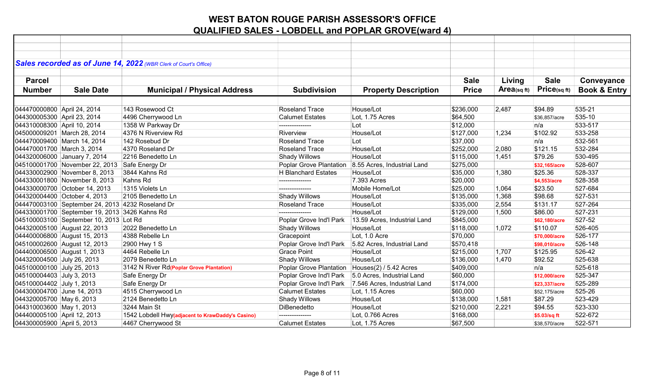|                             |                                                  | Sales recorded as of June 14, 2022 (WBR Clerk of Court's Office) |                            |                              |              |             |                   |                         |
|-----------------------------|--------------------------------------------------|------------------------------------------------------------------|----------------------------|------------------------------|--------------|-------------|-------------------|-------------------------|
|                             |                                                  |                                                                  |                            |                              |              |             |                   |                         |
| <b>Parcel</b>               |                                                  |                                                                  |                            |                              | <b>Sale</b>  | Living      | <b>Sale</b>       | Conveyance              |
| <b>Number</b>               | <b>Sale Date</b>                                 | <b>Municipal / Physical Address</b>                              | <b>Subdivision</b>         | <b>Property Description</b>  | <b>Price</b> | Area(sq ft) | $Price_{(sq ft)}$ | <b>Book &amp; Entry</b> |
|                             |                                                  |                                                                  |                            |                              |              |             |                   |                         |
| 044470000800 April 24, 2014 |                                                  | 143 Rosewood Ct                                                  | <b>Roseland Trace</b>      | House/Lot                    | \$236,000    | 2,487       | \$94.89           | 535-21                  |
| 044300005300 April 23, 2014 |                                                  | 4496 Cherrywood Ln                                               | <b>Calumet Estates</b>     | Lot, 1.75 Acres              | \$64,500     |             | \$36,857/acre     | 535-10                  |
| 044310008300 April 10, 2014 |                                                  | 1358 W Parkway Dr                                                | ---------------            | Lot                          | \$12,000     |             | ∣n/a              | 533-517                 |
|                             | 045000009201 March 28, 2014                      | 4376 N Riverview Rd                                              | Riverview                  | House/Lot                    | \$127,000    | 1,234       | \$102.92          | 533-258                 |
|                             | 044470009400 March 14, 2014                      | 142 Rosebud Dr                                                   | <b>Roseland Trace</b>      | Lot                          | \$37,000     |             | n/a               | 532-561                 |
| 044470001700 March 3, 2014  |                                                  | 4370 Roseland Dr                                                 | <b>Roseland Trace</b>      | House/Lot                    | \$252,000    | 2,080       | \$121.15          | 532-284                 |
|                             | 044320006000 January 7, 2014                     | 2216 Benedetto Ln                                                | Shady Willows              | House/Lot                    | \$115,000    | 1,451       | \$79.26           | 530-495                 |
|                             | 045100001700 November 22, 2013 Safe Energy Dr    |                                                                  | Poplar Grove Plantation    | 8.55 Acres, Industrial Land  | \$275,000    |             | \$32,165/acre     | 528-607                 |
|                             | 044330002900 November 8, 2013                    | 3844 Kahns Rd                                                    | <b>H</b> Blanchard Estates | House/Lot                    | \$35,000     | 1,380       | \$25.36           | 528-337                 |
|                             | 044330001800 November 8, 2013                    | Kahns Rd                                                         | ---------------            | 7.393 Acres                  | \$20,000     |             | \$4,553/acre      | 528-358                 |
|                             | 044330000700 October 14, 2013                    | 1315 Violets Ln                                                  | ---------------            | Mobile Home/Lot              | \$25,000     | 1,064       | \$23.50           | 527-684                 |
|                             | 044320004400 October 4, 2013                     | 2105 Benedetto Ln                                                | Shady Willows              | House/Lot                    | \$135,000    | 1,368       | \$98.68           | 527-531                 |
|                             | 044470003100 September 24, 2013 4232 Roseland Dr |                                                                  | <b>Roseland Trace</b>      | House/Lot                    | \$335,000    | 2,554       | \$131.17          | 527-264                 |
|                             | 044330001700 September 19, 2013 3426 Kahns Rd    |                                                                  | ---------------            | House/Lot                    | \$129,000    | 1,500       | \$86.00           | 527-231                 |
|                             | 045100003100 September 10, 2013 Lot Rd           |                                                                  | Poplar Grove Ind'l Park    | 13.59 Acres, Industrial Land | \$845,000    |             | \$62,180/acre     | 527-52                  |
|                             | 044320005100 August 22, 2013                     | 2022 Benedetto Ln                                                | Shady Willows              | House/Lot                    | \$118,000    | 1,072       | \$110.07          | 526-405                 |
|                             | 044400006800 August 15, 2013                     | 4388 Rebelle Ln                                                  | Gracepoint                 | Lot, 1.0 Acre                | \$70,000     |             | \$70,000/acre     | 526-177                 |
|                             | 045100002600 August 12, 2013                     | 2900 Hwy 1 S                                                     | Poplar Grove Ind'l Park    | 5.82 Acres, Industrial Land  | \$570,418    |             | \$98,010/acre     | 526-148                 |
|                             | 044400006500 August 1, 2013                      | 4464 Rebelle Ln                                                  | <b>Grace Point</b>         | House/Lot                    | \$215,000    | 1,707       | \$125.95          | 526-42                  |
| 044320004500 July 26, 2013  |                                                  | 2079 Benedetto Ln                                                | Shady Willows              | House/Lot                    | \$136,000    | 1,470       | \$92.52           | 525-638                 |
| 045100000100 July 25, 2013  |                                                  | 3142 N River Rd(Poplar Grove Plantation)                         | Poplar Grove Plantation    | Houses(2) / 5.42 Acres       | \$409,000    |             | n/a               | 525-618                 |
| 045100004403 July 3, 2013   |                                                  | Safe Energy Dr                                                   | Poplar Grove Ind'l Park    | 5.0 Acres, Industrial Land   | \$60,000     |             | \$12,000/acre     | 525-347                 |
| 045100004402 July 1, 2013   |                                                  | Safe Energy Dr                                                   | Poplar Grove Ind'l Park    | 7.546 Acres, Industrial Land | \$174,000    |             | \$23,337/acre     | 525-289                 |
| 044300004700 June 14, 2013  |                                                  | 4515 Cherrywood Ln                                               | <b>Calumet Estates</b>     | Lot, 1.15 Acres              | \$60,000     |             | \$52,175/acre     | 525-26                  |
| 044320005700 May 6, 2013    |                                                  | 2124 Benedetto Ln                                                | <b>Shady Willows</b>       | House/Lot                    | \$138,000    | 1,581       | \$87.29           | 523-429                 |
| 044310003600 May 1, 2013    |                                                  | 3244 Main St                                                     | DiBenedetto                | House/Lot                    | \$210,000    | 2,221       | \$94.55           | 523-330                 |
| 044400005100 April 12, 2013 |                                                  | 1542 Lobdell Hwy(adjacent to KrawDaddy's Casino)                 | ---------------            | Lot, 0.766 Acres             | \$168,000    |             | \$5.03/sq ft      | 522-672                 |
| 044300005900 April 5, 2013  |                                                  | 4467 Cherrywood St                                               | <b>Calumet Estates</b>     | Lot, 1.75 Acres              | \$67,500     |             | \$38,570/acre     | 522-571                 |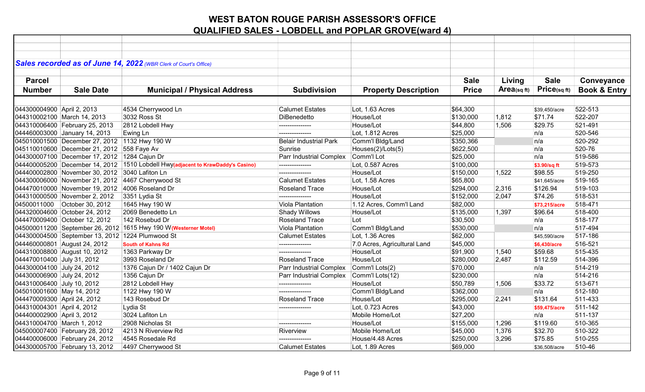|                             |                                                   | Sales recorded as of June 14, 2022 (WBR Clerk of Court's Office)                |                               |                              |              |            |               |                         |
|-----------------------------|---------------------------------------------------|---------------------------------------------------------------------------------|-------------------------------|------------------------------|--------------|------------|---------------|-------------------------|
|                             |                                                   |                                                                                 |                               |                              |              |            |               |                         |
| <b>Parcel</b>               |                                                   |                                                                                 |                               |                              | <b>Sale</b>  | Living     | <b>Sale</b>   | Conveyance              |
| <b>Number</b>               | <b>Sale Date</b>                                  | <b>Municipal / Physical Address</b>                                             | <b>Subdivision</b>            | <b>Property Description</b>  | <b>Price</b> | Area(sqft) | Price(sqft)   | <b>Book &amp; Entry</b> |
|                             |                                                   |                                                                                 |                               |                              |              |            |               |                         |
| 044300004900 April 2, 2013  |                                                   | 4534 Cherrywood Ln                                                              | <b>Calumet Estates</b>        | Lot, 1.63 Acres              | \$64,300     |            | \$39,450/acre | 522-513                 |
|                             | 044310002100 March 14, 2013                       | 3032 Ross St                                                                    | DiBenedetto                   | House/Lot                    | \$130,000    | 1,812      | \$71.74       | 522-207                 |
|                             | 044310006400 February 25, 2013                    | 2812 Lobdell Hwy                                                                |                               | House/Lot                    | \$44,800     | 1,506      | \$29.75       | 521-491                 |
|                             | 044460003000 January 14, 2013                     | Ewing Ln                                                                        | ---------------               | Lot, 1.812 Acres             | \$25,000     |            | n/a           | 520-546                 |
|                             | 045010001500 December 27, 2012 1132 Hwy 190 W     |                                                                                 | <b>Belair Industrial Park</b> | Comm'l Bldg/Land             | \$350,366    |            | n/a           | 520-292                 |
|                             | 045110010600 December 21, 2012 558 Faye Av        |                                                                                 | Sunrise                       | Houses(2)/Lots(5)            | \$622,500    |            | n/a           | 520-76                  |
|                             | 044300007100 December 17, 2012 1284 Cajun Dr      |                                                                                 | Parr Industrial Complex       | Comm'l Lot                   | \$25,000     |            | n/a           | 519-586                 |
|                             |                                                   | 044400005200 December 14, 2012 1510 Lobdell Hwy(adjacent to KrawDaddy's Casino) | ---------------               | Lot, 0.587 Acres             | \$100,000    |            | \$3.90/sq ft  | 519-573                 |
|                             | 044400002800 November 30, 2012 3040 Lafiton Ln    |                                                                                 | ---------------               | House/Lot                    | \$150,000    | 1,522      | \$98.55       | 519-250                 |
|                             | 044300006000 November 21, 2012 4467 Cherrywood St |                                                                                 | <b>Calumet Estates</b>        | Lot, 1.58 Acres              | \$65,800     |            | \$41,645/acre | 519-165                 |
|                             | 044470010000 November 19, 2012 4006 Roseland Dr   |                                                                                 | <b>Roseland Trace</b>         | House/Lot                    | \$294,000    | 2,316      | \$126.94      | 519-103                 |
|                             | 044310000500 November 2, 2012                     | 3351 Lydia St                                                                   |                               | House/Lot                    | \$152,000    | 2,047      | \$74.26       | 518-531                 |
|                             | 04500011000 October 30, 2012                      | 1645 Hwy 190 W                                                                  | Viola Plantation              | 1.12 Acres, Comm'l Land      | \$82,000     |            | \$73,215/acre | 518-471                 |
|                             | 044320004600 October 24, 2012                     | 2069 Benedetto Ln                                                               | <b>Shady Willows</b>          | House/Lot                    | \$135,000    | 1,397      | \$96.64       | 518-400                 |
|                             | 044470009400 October 12, 2012                     | 142 Rosebud Dr                                                                  | Roseland Trace                | Lot                          | \$30,500     |            | n/a           | 518-177                 |
|                             |                                                   | 045000011200 September 26, 2012 1615 Hwy 190 W(Westerner Motel)                 | Viola Plantation              | Comm'l Bldg/Land             | \$530,000    |            | n/a           | 517-494                 |
|                             | 044300004500 September 13, 2012 1224 Plumwood St  |                                                                                 | <b>Calumet Estates</b>        | Lot, 1.36 Acres              | \$62,000     |            | \$45,590/acre | 517-186                 |
|                             | 044460000801 August 24, 2012                      | <b>South of Kahns Rd</b>                                                        | ---------------               | 7.0 Acres, Agricultural Land | \$45,000     |            | \$6,430/acre  | 516-521                 |
|                             | 044310008800 August 10, 2012                      | 1363 Parkway Dr                                                                 | ---------------               | House/Lot                    | \$91,900     | 1,540      | \$59.68       | 515-435                 |
| 044470010400 July 31, 2012  |                                                   | 3993 Roseland Dr                                                                | <b>Roseland Trace</b>         | House/Lot                    | \$280,000    | 2,487      | \$112.59      | 514-396                 |
| 044300004100 July 24, 2012  |                                                   | 1376 Cajun Dr / 1402 Cajun Dr                                                   | Parr Industrial Complex       | Comm'l Lots(2)               | \$70,000     |            | n/a           | 514-219                 |
| 044300006900 July 24, 2012  |                                                   | 1356 Cajun Dr                                                                   | Parr Industrial Complex       | Comm'l Lots(12)              | \$230,000    |            | n/a           | 514-216                 |
| 044310006400 July 10, 2012  |                                                   | 2812 Lobdell Hwy                                                                | ---------------               | House/Lot                    | \$50,789     | 1,506      | \$33.72       | 513-671                 |
| 045010001600 May 14, 2012   |                                                   | 1122 Hwy 190 W                                                                  |                               | Comm'l Bldg/Land             | \$362,000    |            | n/a           | 512-180                 |
| 044470009300 April 24, 2012 |                                                   | 143 Rosebud Dr                                                                  | <b>Roseland Trace</b>         | House/Lot                    | \$295,000    | 2,241      | \$131.64      | 511-433                 |
| 044310004301 April 4, 2012  |                                                   | Lydia St                                                                        | ---------------               | Lot, 0.723 Acres             | \$43,000     |            | \$59,475/acre | 511-142                 |
| 044400002900 April 3, 2012  |                                                   | 3024 Lafiton Ln                                                                 |                               | Mobile Home/Lot              | \$27,200     |            | n/a           | 511-137                 |
| 044310004700 March 1, 2012  |                                                   | 2908 Nicholas St                                                                |                               | House/Lot                    | \$155,000    | 1,296      | \$119.60      | 510-365                 |
|                             | 045000007400 February 28, 2012                    | 4213 N Riverview Rd                                                             | Riverview                     | Mobile Home/Lot              | \$45,000     | 1,376      | \$32.70       | 510-322                 |
|                             | 044400006000 February 24, 2012                    | 4545 Rosedale Rd                                                                |                               | House/4.48 Acres             | \$250,000    | 3,296      | \$75.85       | 510-255                 |
|                             | 044300005700 February 13, 2012                    | 4497 Cherrywood St                                                              | <b>Calumet Estates</b>        | Lot, 1.89 Acres              | \$69,000     |            | \$36,508/acre | 510-46                  |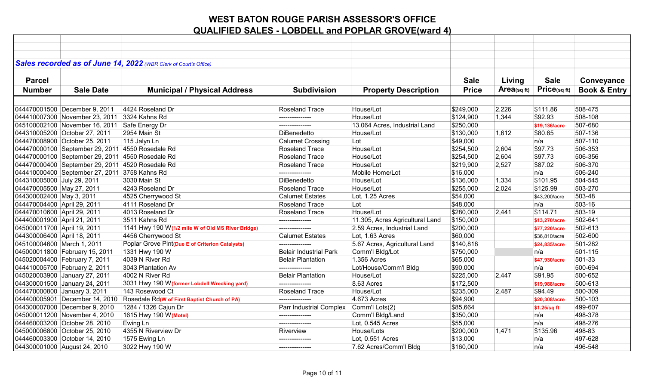|                             |                                                  | Sales recorded as of June 14, 2022 (WBR Clerk of Court's Office) |                               |                                 |              |                |               |                         |
|-----------------------------|--------------------------------------------------|------------------------------------------------------------------|-------------------------------|---------------------------------|--------------|----------------|---------------|-------------------------|
|                             |                                                  |                                                                  |                               |                                 |              |                |               |                         |
| <b>Parcel</b>               |                                                  |                                                                  |                               |                                 | <b>Sale</b>  | Living         | <b>Sale</b>   | Conveyance              |
| <b>Number</b>               | <b>Sale Date</b>                                 | <b>Municipal / Physical Address</b>                              | <b>Subdivision</b>            | <b>Property Description</b>     | <b>Price</b> | $Area$ (sq ft) | Price(sqft)   | <b>Book &amp; Entry</b> |
|                             |                                                  |                                                                  |                               |                                 |              |                |               |                         |
|                             | 044470001500 December 9, 2011                    | 4424 Roseland Dr                                                 | <b>Roseland Trace</b>         | House/Lot                       | \$249,000    | 2,226          | \$111.86      | 508-475                 |
|                             | 044410007300 November 23, 2011 3324 Kahns Rd     |                                                                  | ---------------               | House/Lot                       | \$124,900    | 1,344          | \$92.93       | 508-108                 |
|                             | 045100002100 November 16, 2011 Safe Energy Dr    |                                                                  |                               | 13.064 Acres, Industrial Land   | \$250,000    |                | \$19,136/acre | 507-680                 |
|                             | 044310005200 October 27, 2011                    | 2954 Main St                                                     | <b>DiBenedetto</b>            | House/Lot                       | \$130,000    | 1,612          | \$80.65       | 507-136                 |
|                             | 044470008900 October 25, 2011                    | 115 Jalyn Ln                                                     | <b>Calumet Crossing</b>       | Lot                             | \$49,000     |                | n/a           | 507-110                 |
|                             | 044470000100 September 29, 2011 4550 Rosedale Rd |                                                                  | Roseland Trace                | House/Lot                       | \$254,500    | 2,604          | \$97.73       | 506-353                 |
|                             | 044470000100 September 29, 2011 4550 Rosedale Rd |                                                                  | Roseland Trace                | House/Lot                       | \$254,500    | 2,604          | \$97.73       | 506-356                 |
|                             | 044470000400 September 29, 2011 4520 Rosedale Rd |                                                                  | <b>Roseland Trace</b>         | House/Lot                       | \$219,900    | 2,527          | \$87.02       | 506-370                 |
|                             | 044410000400 September 27, 2011 3758 Kahns Rd    |                                                                  | ---------------               | Mobile Home/Lot                 | \$16,000     |                | n/a           | 506-240                 |
| 044310005000 July 29, 2011  |                                                  | 3030 Main St                                                     | DiBenedetto                   | House/Lot                       | \$136,000    | 1,334          | \$101.95      | 504-545                 |
| 044470005500 May 27, 2011   |                                                  | 4243 Roseland Dr                                                 | <b>Roseland Trace</b>         | House/Lot                       | \$255,000    | 2,024          | \$125.99      | 503-270                 |
| 044300002400 May 3, 2011    |                                                  | 4525 Cherrywood St                                               | <b>Calumet Estates</b>        | Lot, 1.25 Acres                 | \$54,000     |                | \$43,200/acre | 503-48                  |
| 044470004400 April 29, 2011 |                                                  | 4111 Roseland Dr                                                 | <b>Roseland Trace</b>         | Lot                             | \$48,000     |                | n/a           | 503-16                  |
| 044470010600 April 29, 2011 |                                                  | 4013 Roseland Dr                                                 | Roseland Trace                | House/Lot                       | \$280,000    | 2,441          | \$114.71      | 503-19                  |
| 044400001900 April 21, 2011 |                                                  | 3511 Kahns Rd                                                    |                               | 11.305, Acres Agricultural Land | \$150,000    |                | \$13,270/acre | 502-641                 |
| 045000011700 April 19, 2011 |                                                  | 1141 Hwy 190 W(1/2 mile W of Old MS River Bridge)                | ---------------               | 2.59 Acres, Industrial Land     | \$200,000    |                | \$77,220/acre | 502-613                 |
| 044300006400 April 18, 2011 |                                                  | 4456 Cherrywood St                                               | <b>Calumet Estates</b>        | Lot, 1.63 Acres                 | \$60,000     |                | \$36,810/acre | 502-600                 |
| 045100004600 March 1, 2011  |                                                  | Poplar Grove PInt(Due E of Criterion Catalysts)                  | ---------------               | 5.67 Acres, Agricultural Land   | \$140,818    |                | \$24,835/acre | 501-282                 |
|                             | 045000011800 February 15, 2011                   | 1331 Hwy 190 W                                                   | <b>Belair Industrial Park</b> | Comm'l Bldg/Lot                 | \$750,000    |                | n/a           | 501-115                 |
|                             | 045020004400 February 7, 2011                    | 4039 N River Rd                                                  | <b>Belair Plantation</b>      | 1.356 Acres                     | \$65,000     |                | \$47,930/acre | 501-33                  |
|                             | 044410005700 February 2, 2011                    | 3043 Plantation Av                                               | --------------                | Lot/House/Comm'l Bldg           | \$90,000     |                | n/a           | 500-694                 |
|                             | 045020003900 January 27, 2011                    | 4002 N River Rd                                                  | <b>Belair Plantation</b>      | House/Lot                       | \$225,000    | 2,447          | \$91.95       | 500-652                 |
|                             | 044300001500 January 24, 2011                    | 3031 Hwy 190 W (former Lobdell Wrecking yard)                    | --------------                | 8.63 Acres                      | \$172,500    |                | \$19,988/acre | 500-613                 |
|                             | 044470000800 January 3, 2011                     | 143 Rosewood Ct                                                  | Roseland Trace                | House/Lot                       | \$235,000    | 2,487          | \$94.49       | 500-309                 |
|                             | 044400005901 December 14, 2010                   | Rosedale Rd(W of First Baptist Church of PA)                     | ---------------               | 4.673 Acres                     | \$94,900     |                | \$20,308/acre | 500-103                 |
|                             | 044300007000 December 9, 2010                    | 1284 / 1326 Cajun Dr                                             | Parr Industrial Complex       | Comm'l Lots(2)                  | \$85,664     |                | \$1.25/sq ft  | 499-607                 |
|                             | 045000011200 November 4, 2010                    | 1615 Hwy 190 W(Motel)                                            | ---------------               | Comm'l Bldg/Land                | \$350,000    |                | n/a           | 498-378                 |
|                             | 044460003200 October 28, 2010                    | Ewing Ln                                                         | ---------------               | Lot, 0.545 Acres                | \$55,000     |                | n/a           | 498-276                 |
|                             | 045000006800 October 25, 2010                    | 4355 N Riverview Dr                                              | Riverview                     | House/Lots                      | \$200,000    | 1,471          | \$135.96      | 498-83                  |
|                             | 044460003300 October 14, 2010                    | 1575 Ewing Ln                                                    | ---------------               | Lot, 0.551 Acres                | \$13,000     |                | n/a           | 497-628                 |
|                             | 044300001000 August 24, 2010                     | 3022 Hwy 190 W                                                   | ---------------               | 7.62 Acres/Comm'l Bldg          | \$160,000    |                | n/a           | 496-548                 |